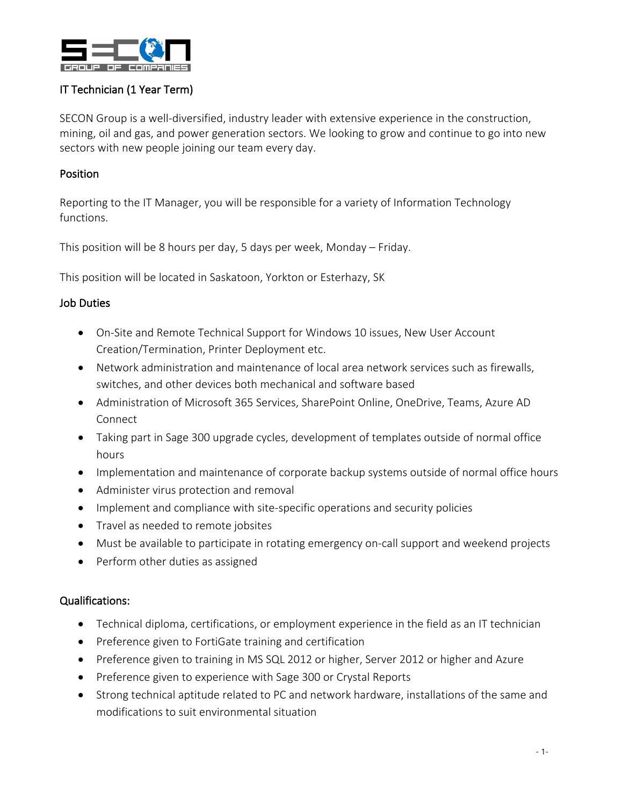

# IT Technician (1 Year Term)

SECON Group is a well-diversified, industry leader with extensive experience in the construction, mining, oil and gas, and power generation sectors. We looking to grow and continue to go into new sectors with new people joining our team every day.

### Position

Reporting to the IT Manager, you will be responsible for a variety of Information Technology functions.

This position will be 8 hours per day, 5 days per week, Monday – Friday.

This position will be located in Saskatoon, Yorkton or Esterhazy, SK

## Job Duties

- On-Site and Remote Technical Support for Windows 10 issues, New User Account Creation/Termination, Printer Deployment etc.
- Network administration and maintenance of local area network services such as firewalls, switches, and other devices both mechanical and software based
- Administration of Microsoft 365 Services, SharePoint Online, OneDrive, Teams, Azure AD Connect
- Taking part in Sage 300 upgrade cycles, development of templates outside of normal office hours
- Implementation and maintenance of corporate backup systems outside of normal office hours
- Administer virus protection and removal
- Implement and compliance with site-specific operations and security policies
- Travel as needed to remote jobsites
- Must be available to participate in rotating emergency on-call support and weekend projects
- Perform other duties as assigned

# Qualifications:

- Technical diploma, certifications, or employment experience in the field as an IT technician
- Preference given to FortiGate training and certification
- Preference given to training in MS SQL 2012 or higher, Server 2012 or higher and Azure
- Preference given to experience with Sage 300 or Crystal Reports
- Strong technical aptitude related to PC and network hardware, installations of the same and modifications to suit environmental situation